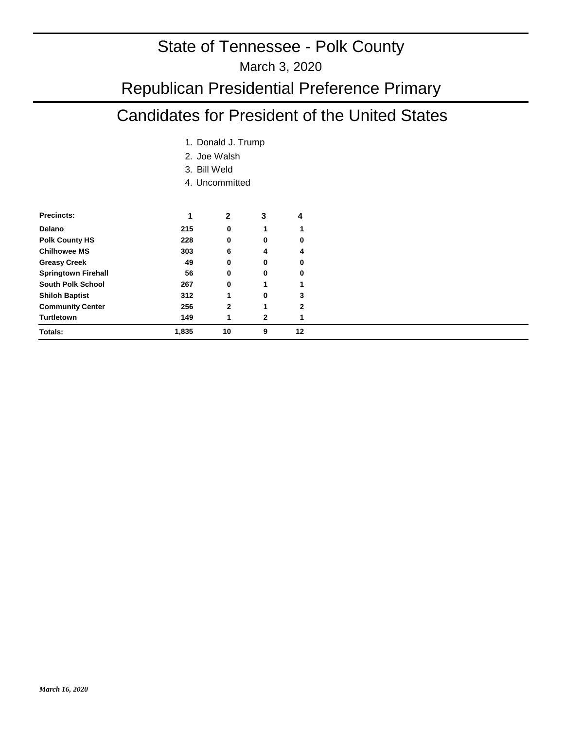#### March 3, 2020

## Republican Presidential Preference Primary

## Candidates for President of the United States

- 1. Donald J. Trump
- 2. Joe Walsh
- Bill Weld 3.
- 4. Uncommitted

| <b>Precincts:</b>          | 1     | 2              | 3            | 4  |
|----------------------------|-------|----------------|--------------|----|
| Delano                     | 215   | 0              | 1            |    |
| <b>Polk County HS</b>      | 228   | 0              | 0            | 0  |
| <b>Chilhowee MS</b>        | 303   | 6              | 4            | 4  |
| <b>Greasy Creek</b>        | 49    | 0              | 0            | 0  |
| <b>Springtown Firehall</b> | 56    | 0              | 0            | 0  |
| <b>South Polk School</b>   | 267   | 0              | 1            |    |
| <b>Shiloh Baptist</b>      | 312   |                | 0            | 3  |
| <b>Community Center</b>    | 256   | $\overline{2}$ | 1            | 2  |
| <b>Turtletown</b>          | 149   | 1              | $\mathbf{2}$ |    |
| Totals:                    | 1,835 | 10             | 9            | 12 |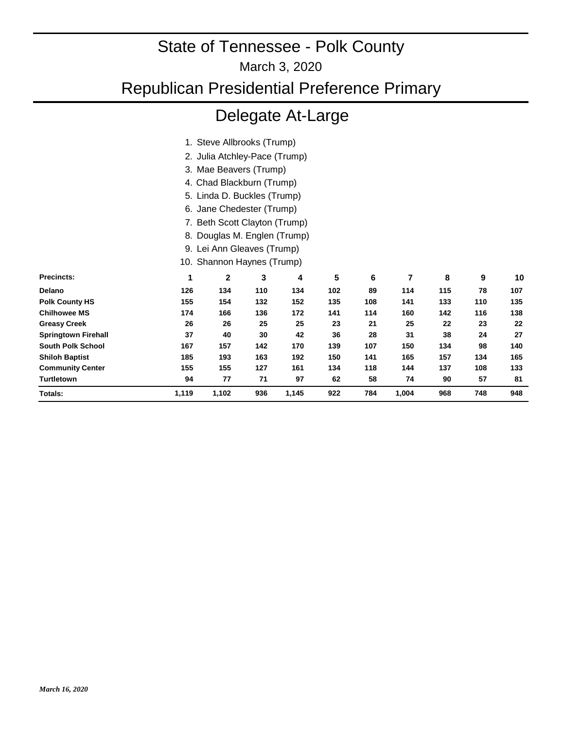March 3, 2020

## Republican Presidential Preference Primary

## Delegate At-Large

|                          |       | 1. Steve Allbrooks (Trump)    |                               |       |     |     |       |     |     |     |
|--------------------------|-------|-------------------------------|-------------------------------|-------|-----|-----|-------|-----|-----|-----|
|                          |       |                               | 2. Julia Atchley-Pace (Trump) |       |     |     |       |     |     |     |
|                          |       |                               | 3. Mae Beavers (Trump)        |       |     |     |       |     |     |     |
|                          |       | 4. Chad Blackburn (Trump)     |                               |       |     |     |       |     |     |     |
|                          |       | 5. Linda D. Buckles (Trump)   |                               |       |     |     |       |     |     |     |
|                          | 6.    | Jane Chedester (Trump)        |                               |       |     |     |       |     |     |     |
|                          |       | 7. Beth Scott Clayton (Trump) |                               |       |     |     |       |     |     |     |
|                          |       | 8. Douglas M. Englen (Trump)  |                               |       |     |     |       |     |     |     |
|                          |       |                               | 9. Lei Ann Gleaves (Trump)    |       |     |     |       |     |     |     |
|                          |       | 10. Shannon Haynes (Trump)    |                               |       |     |     |       |     |     |     |
| Precincts:               | 1     | $\mathbf 2$                   | 3                             | 4     | 5   | 6   | 7     | 8   | 9   | 10  |
| Delano                   | 126   | 134                           | 110                           | 134   | 102 | 89  | 114   | 115 | 78  | 107 |
| Polk County HS           | 155   | 154                           | 132                           | 152   | 135 | 108 | 141   | 133 | 110 | 135 |
| <b>Chilhowee MS</b>      | 174   | 166                           | 136                           | 172   | 141 | 114 | 160   | 142 | 116 | 138 |
| <b>Greasy Creek</b>      | 26    | 26                            | 25                            | 25    | 23  | 21  | 25    | 22  | 23  | 22  |
| Springtown Firehall      | 37    | 40                            | 30                            | 42    | 36  | 28  | 31    | 38  | 24  | 27  |
| <b>South Polk School</b> | 167   | 157                           | 142                           | 170   | 139 | 107 | 150   | 134 | 98  | 140 |
| <b>Shiloh Baptist</b>    | 185   | 193                           | 163                           | 192   | 150 | 141 | 165   | 157 | 134 | 165 |
| <b>Community Center</b>  | 155   | 155                           | 127                           | 161   | 134 | 118 | 144   | 137 | 108 | 133 |
| Turtletown               | 94    | 77                            | 71                            | 97    | 62  | 58  | 74    | 90  | 57  | 81  |
| Totals:                  | 1,119 | 1,102                         | 936                           | 1,145 | 922 | 784 | 1,004 | 968 | 748 | 948 |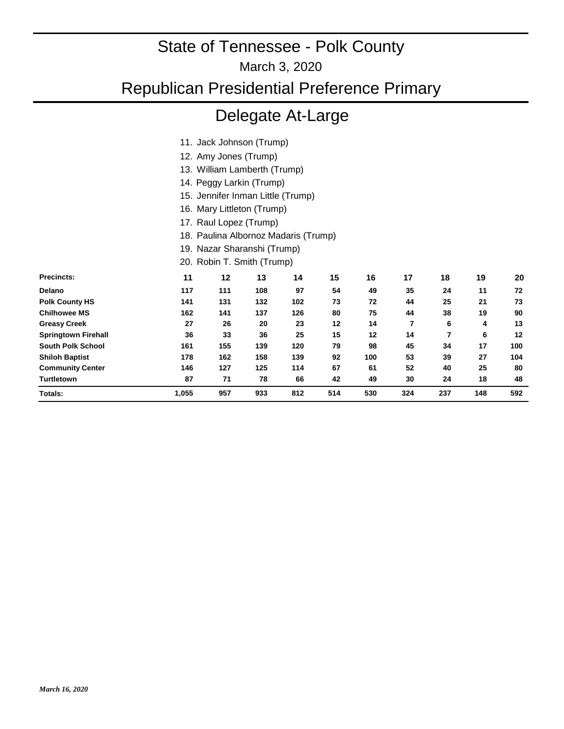March 3, 2020

### Republican Presidential Preference Primary

## Delegate At-Large

- 11. Jack Johnson (Trump)
- 12. Amy Jones (Trump)
- 13. William Lamberth (Trump)
- 14. Peggy Larkin (Trump)
- 15. Jennifer Inman Little (Trump)
- 16. Mary Littleton (Trump)
- 17. Raul Lopez (Trump)
- 18. Paulina Albornoz Madaris (Trump)
- 19. Nazar Sharanshi (Trump)
- 20. Robin T. Smith (Trump)

| <b>Precincts:</b>          | 11    | 12  | 13  | 14  | 15  | 16  | 17  | 18  | 19  | 20                |
|----------------------------|-------|-----|-----|-----|-----|-----|-----|-----|-----|-------------------|
| Delano                     | 117   | 111 | 108 | 97  | 54  | 49  | 35  | 24  | 11  | 72                |
| <b>Polk County HS</b>      | 141   | 131 | 132 | 102 | 73  | 72  | 44  | 25  | 21  | 73                |
| <b>Chilhowee MS</b>        | 162   | 141 | 137 | 126 | 80  | 75  | 44  | 38  | 19  | 90                |
| <b>Greasy Creek</b>        | 27    | 26  | 20  | 23  | 12  | 14  | 7   | 6   | 4   | 13                |
| <b>Springtown Firehall</b> | 36    | 33  | 36  | 25  | 15  | 12  | 14  |     | 6   | $12 \overline{ }$ |
| <b>South Polk School</b>   | 161   | 155 | 139 | 120 | 79  | 98  | 45  | 34  | 17  | 100               |
| <b>Shiloh Baptist</b>      | 178   | 162 | 158 | 139 | 92  | 100 | 53  | 39  | 27  | 104               |
| <b>Community Center</b>    | 146   | 127 | 125 | 114 | 67  | 61  | 52  | 40  | 25  | 80                |
| <b>Turtletown</b>          | 87    | 71  | 78  | 66  | 42  | 49  | 30  | 24  | 18  | 48                |
| Totals:                    | 1.055 | 957 | 933 | 812 | 514 | 530 | 324 | 237 | 148 | 592               |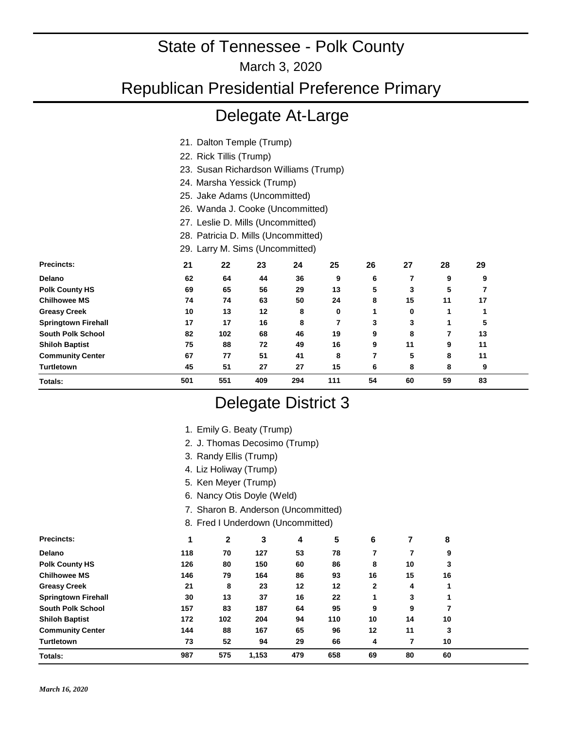March 3, 2020

Republican Presidential Preference Primary

## Delegate At-Large

- 21. Dalton Temple (Trump)
- 22. Rick Tillis (Trump)
- 23. Susan Richardson Williams (Trump)
- 24. Marsha Yessick (Trump)
- 25. Jake Adams (Uncommitted)
- 26. Wanda J. Cooke (Uncommitted)
- 27. Leslie D. Mills (Uncommitted)
- 28. Patricia D. Mills (Uncommitted)

29. Larry M. Sims (Uncommitted)

| <b>Precincts:</b>          | 21  | 22  | 23  | 24  | 25  | 26 | 27 | 28 | 29 |  |
|----------------------------|-----|-----|-----|-----|-----|----|----|----|----|--|
| Delano                     | 62  | 64  | 44  | 36  | 9   | 6  |    | 9  | 9  |  |
| <b>Polk County HS</b>      | 69  | 65  | 56  | 29  | 13  | 5  | 3  | 5  |    |  |
| <b>Chilhowee MS</b>        | 74  | 74  | 63  | 50  | 24  | 8  | 15 | 11 | 17 |  |
| <b>Greasy Creek</b>        | 10  | 13  | 12  | 8   | 0   |    | 0  |    |    |  |
| <b>Springtown Firehall</b> | 17  | 17  | 16  | 8   |     | 3  | 3  |    | 5  |  |
| <b>South Polk School</b>   | 82  | 102 | 68  | 46  | 19  | 9  | 8  |    | 13 |  |
| <b>Shiloh Baptist</b>      | 75  | 88  | 72  | 49  | 16  | 9  | 11 | 9  | 11 |  |
| <b>Community Center</b>    | 67  | 77  | 51  | 41  | 8   | ⇁  | 5  | 8  | 11 |  |
| <b>Turtletown</b>          | 45  | 51  | 27  | 27  | 15  | 6  | 8  | 8  | 9  |  |
| Totals:                    | 501 | 551 | 409 | 294 | 111 | 54 | 60 | 59 | 83 |  |

### Delegate District 3

|                            |                               |                            | 1. Emily G. Beaty (Trump)           |     |     |    |    |    |  |  |
|----------------------------|-------------------------------|----------------------------|-------------------------------------|-----|-----|----|----|----|--|--|
|                            | 2. J. Thomas Decosimo (Trump) |                            |                                     |     |     |    |    |    |  |  |
|                            |                               | 3. Randy Ellis (Trump)     |                                     |     |     |    |    |    |  |  |
|                            |                               | 4. Liz Holiway (Trump)     |                                     |     |     |    |    |    |  |  |
|                            |                               | 5. Ken Meyer (Trump)       |                                     |     |     |    |    |    |  |  |
|                            |                               | 6. Nancy Otis Doyle (Weld) |                                     |     |     |    |    |    |  |  |
|                            |                               |                            | 7. Sharon B. Anderson (Uncommitted) |     |     |    |    |    |  |  |
|                            |                               |                            | 8. Fred I Underdown (Uncommitted)   |     |     |    |    |    |  |  |
| Precincts:                 |                               | 2                          | 3                                   | 4   | 5   | 6  | 7  | 8  |  |  |
| Delano                     | 118                           | 70                         | 127                                 | 53  | 78  | 7  |    | 9  |  |  |
| <b>Polk County HS</b>      | 126                           | 80                         | 150                                 | 60  | 86  | 8  | 10 | 3  |  |  |
| <b>Chilhowee MS</b>        | 146                           | 79                         | 164                                 | 86  | 93  | 16 | 15 | 16 |  |  |
| <b>Greasy Creek</b>        | 21                            | 8                          | 23                                  | 12  | 12  | 2  | 4  | 1  |  |  |
| <b>Springtown Firehall</b> | 30                            | 13                         | 37                                  | 16  | 22  |    | 3  |    |  |  |
| <b>South Polk School</b>   | 157                           | 83                         | 187                                 | 64  | 95  | 9  | 9  |    |  |  |
| <b>Shiloh Baptist</b>      | 172                           | 102                        | 204                                 | 94  | 110 | 10 | 14 | 10 |  |  |
| <b>Community Center</b>    | 144                           | 88                         | 167                                 | 65  | 96  | 12 | 11 | 3  |  |  |
| Turtletown                 | 73                            | 52                         | 94                                  | 29  | 66  | 4  | 7  | 10 |  |  |
| Totals:                    | 987                           | 575                        | 1,153                               | 479 | 658 | 69 | 80 | 60 |  |  |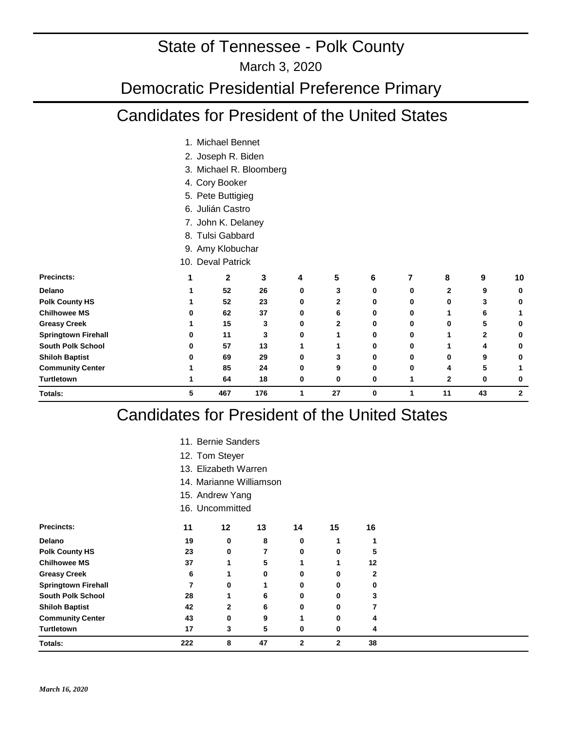#### March 3, 2020

#### Democratic Presidential Preference Primary

#### Candidates for President of the United States

- 1. Michael Bennet
- 2. Joseph R. Biden
- 3. Michael R. Bloomberg
- 4. Cory Booker
- 5. Pete Buttigieg
- 6. Julián Castro
- 7. John K. Delaney
- 8. Tulsi Gabbard
- 9. Amy Klobuchar
- 10. Deval Patrick

| <b>Precincts:</b>          |   | 2   | 3   | 4 | 5  | 6            |   | 8              | 9  | 10           |
|----------------------------|---|-----|-----|---|----|--------------|---|----------------|----|--------------|
| <b>Delano</b>              |   | 52  | 26  | 0 | 3  | 0            | 0 | 2              | 9  | 0            |
| <b>Polk County HS</b>      |   | 52  | 23  | 0 | 2  | 0            | 0 | 0              | 3  |              |
| <b>Chilhowee MS</b>        |   | 62  | 37  | 0 | 6  | 0            | 0 |                | 6  |              |
| <b>Greasy Creek</b>        |   | 15  | 3   | 0 | 2  | 0            | 0 | 0              | 5  | 0            |
| <b>Springtown Firehall</b> | U | 11  | 3   | 0 |    | 0            | 0 |                | 2  | 0            |
| <b>South Polk School</b>   | ŋ | 57  | 13  |   |    | 0            | 0 |                | 4  | 0            |
| <b>Shiloh Baptist</b>      |   | 69  | 29  | 0 | 3  | <sup>0</sup> | n | 0              | 9  | 0            |
| <b>Community Center</b>    |   | 85  | 24  | 0 | 9  | 0            | ŋ | 4              | 5  |              |
| <b>Turtletown</b>          |   | 64  | 18  | 0 | 0  | U            |   | $\overline{2}$ | 0  |              |
| <b>Totals:</b>             | 5 | 467 | 176 |   | 27 | $\bf{0}$     |   | 11             | 43 | $\mathbf{2}$ |

#### Candidates for President of the United States

- 11. Bernie Sanders
- 12. Tom Steyer
- Elizabeth Warren 13.
- 14. Marianne Williamson
- 15. Andrew Yang
- 16. Uncommitted

| <b>Precincts:</b>          | 11  | 12           | 13 | 14           | 15 | 16 |
|----------------------------|-----|--------------|----|--------------|----|----|
| Delano                     | 19  | 0            | 8  | 0            |    |    |
| <b>Polk County HS</b>      | 23  | 0            |    | 0            | 0  | 5  |
| <b>Chilhowee MS</b>        | 37  |              | 5  |              |    | 12 |
| <b>Greasy Creek</b>        | 6   |              | 0  | 0            | 0  | 2  |
| <b>Springtown Firehall</b> |     | 0            |    | 0            | 0  | 0  |
| <b>South Polk School</b>   | 28  |              | 6  | 0            | 0  | 3  |
| <b>Shiloh Baptist</b>      | 42  | $\mathbf{2}$ | 6  | 0            | 0  |    |
| <b>Community Center</b>    | 43  | 0            | 9  |              | 0  | 4  |
| Turtletown                 | 17  | 3            | 5  | 0            | 0  | 4  |
| <b>Totals:</b>             | 222 | 8            | 47 | $\mathbf{2}$ | 2  | 38 |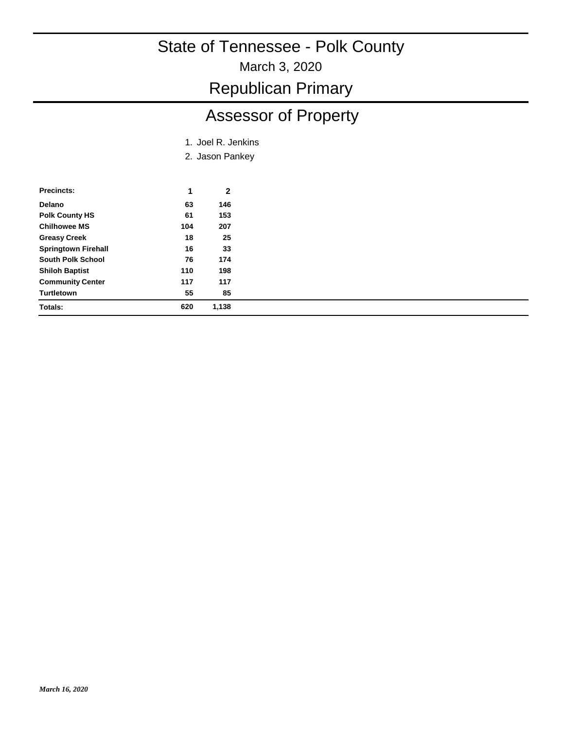March 3, 2020

Republican Primary

## Assessor of Property

- 1. Joel R. Jenkins
- 2. Jason Pankey

| <b>Precincts:</b>          | 1   | 2     |
|----------------------------|-----|-------|
| Delano                     | 63  | 146   |
| <b>Polk County HS</b>      | 61  | 153   |
| <b>Chilhowee MS</b>        | 104 | 207   |
| <b>Greasy Creek</b>        | 18  | 25    |
| <b>Springtown Firehall</b> | 16  | 33    |
| <b>South Polk School</b>   | 76  | 174   |
| <b>Shiloh Baptist</b>      | 110 | 198   |
| <b>Community Center</b>    | 117 | 117   |
| <b>Turtletown</b>          | 55  | 85    |
| Totals:                    | 620 | 1.138 |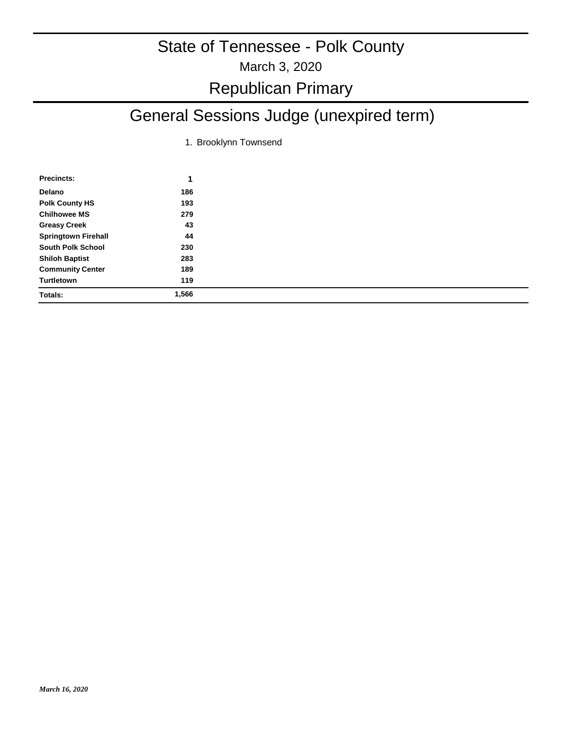## March 3, 2020 State of Tennessee - Polk County Republican Primary

## General Sessions Judge (unexpired term)

1. Brooklynn Townsend

| <b>Precincts:</b>          | 1     |
|----------------------------|-------|
| Delano                     | 186   |
| <b>Polk County HS</b>      | 193   |
| <b>Chilhowee MS</b>        | 279   |
| <b>Greasy Creek</b>        | 43    |
| <b>Springtown Firehall</b> | 44    |
| <b>South Polk School</b>   | 230   |
| <b>Shiloh Baptist</b>      | 283   |
| <b>Community Center</b>    | 189   |
| Turtletown                 | 119   |
| <b>Totals:</b>             | 1,566 |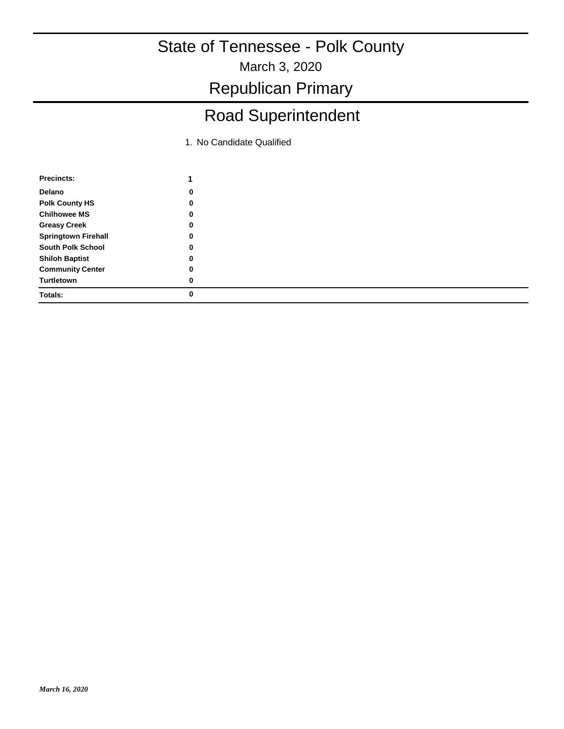March 3, 2020

Republican Primary

## Road Superintendent

1. No Candidate Qualified

| 0 |  |
|---|--|
| 0 |  |
| 0 |  |
| 0 |  |
| 0 |  |
| 0 |  |
| 0 |  |
| 0 |  |
| 0 |  |
|   |  |
|   |  |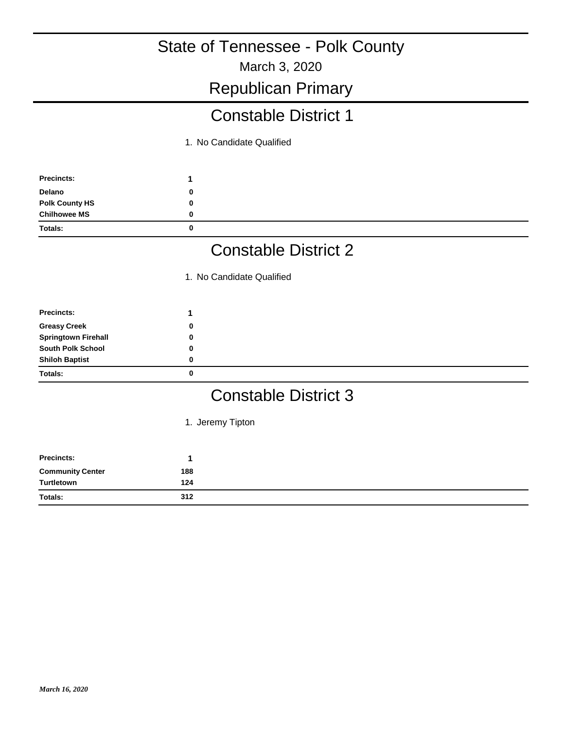March 3, 2020

#### Republican Primary

### Constable District 1

1. No Candidate Qualified

| <b>Precincts:</b>     |   |
|-----------------------|---|
| Delano                | 0 |
| <b>Polk County HS</b> |   |
| <b>Chilhowee MS</b>   |   |
| <b>Totals:</b>        | 0 |

## Constable District 2

1. No Candidate Qualified

| <b>Precincts:</b>          |   |  |
|----------------------------|---|--|
| <b>Greasy Creek</b>        | 0 |  |
| <b>Springtown Firehall</b> | 0 |  |
| <b>South Polk School</b>   |   |  |
| <b>Shiloh Baptist</b>      | 0 |  |
| Totals:                    | 0 |  |

### Constable District 3

1. Jeremy Tipton

| Precincts:              |     |
|-------------------------|-----|
| <b>Community Center</b> | 188 |
| Turtletown              | 124 |
| <b>Totals:</b>          | 312 |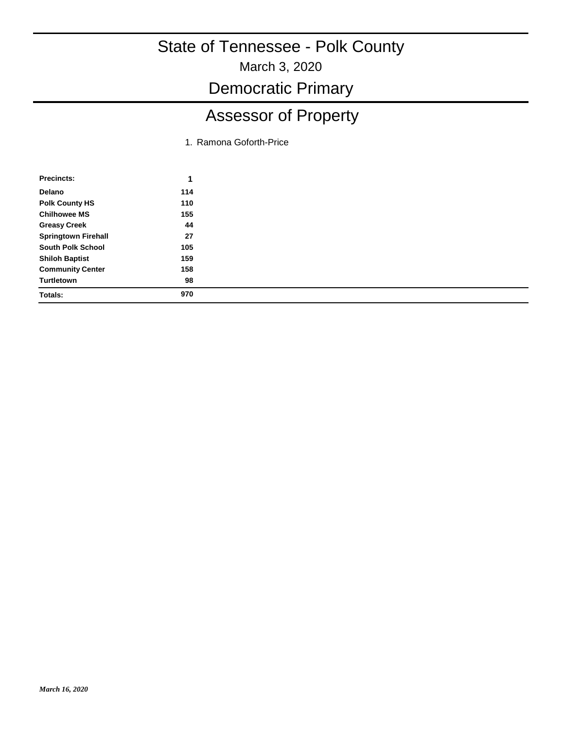March 3, 2020

Democratic Primary

# Assessor of Property

1. Ramona Goforth-Price

| <b>Precincts:</b>          |     |
|----------------------------|-----|
| Delano                     | 114 |
| <b>Polk County HS</b>      | 110 |
| <b>Chilhowee MS</b>        | 155 |
| <b>Greasy Creek</b>        | 44  |
| <b>Springtown Firehall</b> | 27  |
| <b>South Polk School</b>   | 105 |
| <b>Shiloh Baptist</b>      | 159 |
| <b>Community Center</b>    | 158 |
| Turtletown                 | 98  |
| Totals:                    | 970 |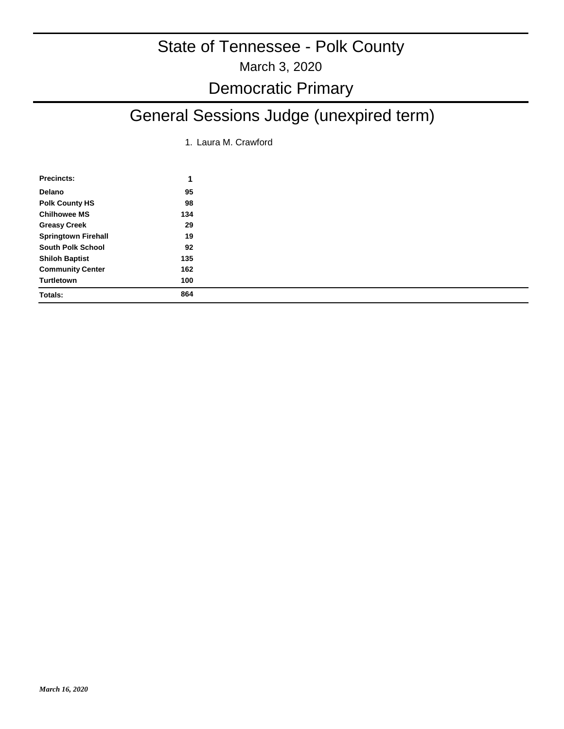### March 3, 2020 State of Tennessee - Polk County

# Democratic Primary

# General Sessions Judge (unexpired term)

1. Laura M. Crawford

| <b>Precincts:</b>          | 1   |
|----------------------------|-----|
| Delano                     | 95  |
| <b>Polk County HS</b>      | 98  |
| <b>Chilhowee MS</b>        | 134 |
| <b>Greasy Creek</b>        | 29  |
| <b>Springtown Firehall</b> | 19  |
| <b>South Polk School</b>   | 92  |
| <b>Shiloh Baptist</b>      | 135 |
| <b>Community Center</b>    | 162 |
| Turtletown                 | 100 |
| <b>Totals:</b>             | 864 |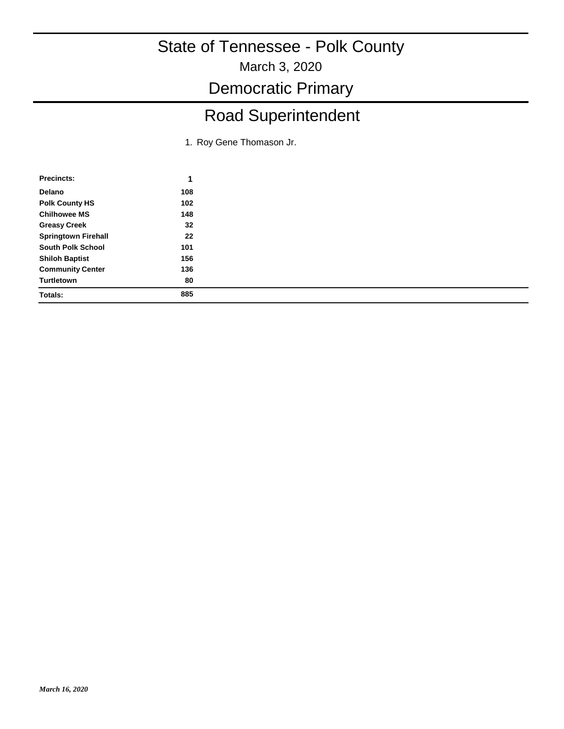March 3, 2020

Democratic Primary

# Road Superintendent

1. Roy Gene Thomason Jr.

| Precincts:                 |     |
|----------------------------|-----|
| Delano                     | 108 |
| <b>Polk County HS</b>      | 102 |
| <b>Chilhowee MS</b>        | 148 |
| <b>Greasy Creek</b>        | 32  |
| <b>Springtown Firehall</b> | 22  |
| <b>South Polk School</b>   | 101 |
| <b>Shiloh Baptist</b>      | 156 |
| <b>Community Center</b>    | 136 |
| Turtletown                 | 80  |
| <b>Totals:</b>             | 885 |